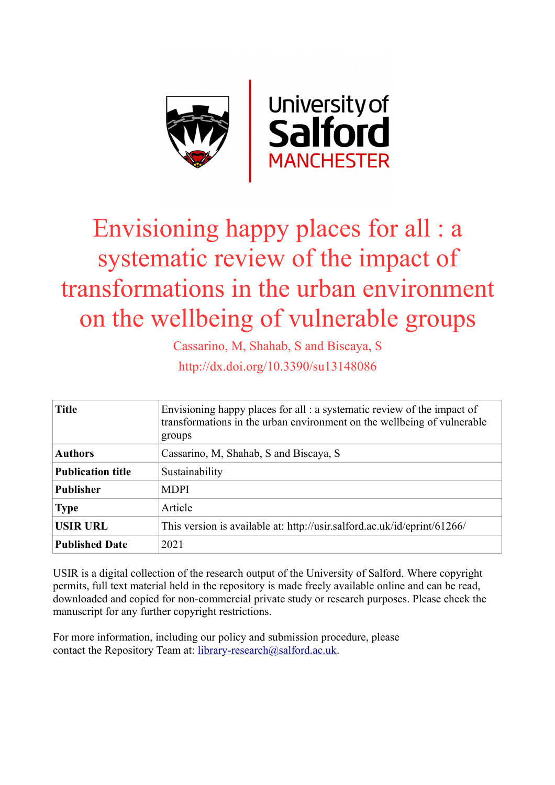

# Envisioning happy places for all : a systematic review of the impact of transformations in the urban environment on the wellbeing of vulnerable groups

Cassarino, M, Shahab, S and Biscaya, S

http://dx.doi.org/10.3390/su13148086

| <b>Title</b>             | Envisioning happy places for all : a systematic review of the impact of<br>transformations in the urban environment on the wellbeing of vulnerable<br>groups |  |  |
|--------------------------|--------------------------------------------------------------------------------------------------------------------------------------------------------------|--|--|
| <b>Authors</b>           | Cassarino, M, Shahab, S and Biscaya, S                                                                                                                       |  |  |
| <b>Publication title</b> | Sustainability                                                                                                                                               |  |  |
| <b>Publisher</b>         | <b>MDPI</b>                                                                                                                                                  |  |  |
| <b>Type</b>              | Article                                                                                                                                                      |  |  |
| <b>USIR URL</b>          | This version is available at: http://usir.salford.ac.uk/id/eprint/61266/                                                                                     |  |  |
| <b>Published Date</b>    | 2021                                                                                                                                                         |  |  |

USIR is a digital collection of the research output of the University of Salford. Where copyright permits, full text material held in the repository is made freely available online and can be read, downloaded and copied for non-commercial private study or research purposes. Please check the manuscript for any further copyright restrictions.

For more information, including our policy and submission procedure, please contact the Repository Team at: [library-research@salford.ac.uk.](mailto:library-research@salford.ac.uk)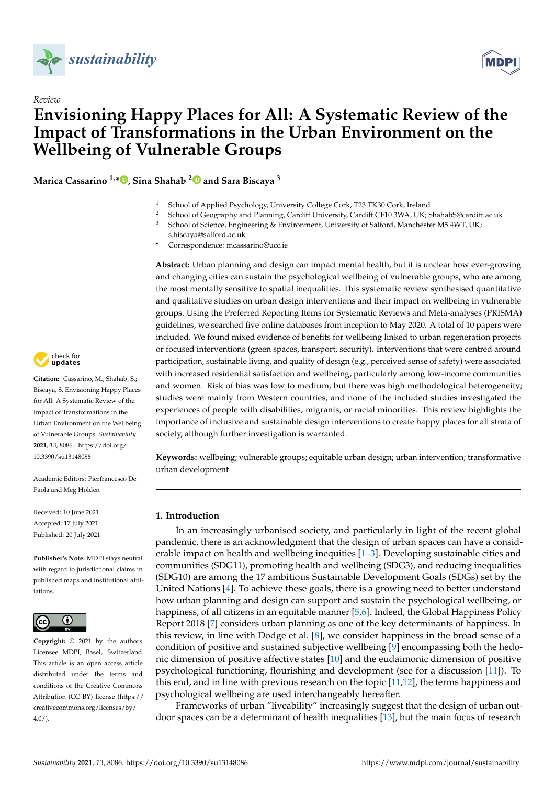

*Review*



# **Envisioning Happy Places for All: A Systematic Review of the Impact of Transformations in the Urban Environment on the Wellbeing of Vulnerable Groups**

**Marica Cassarino 1,\* [,](https://orcid.org/0000-0002-1624-921X) Sina Shahab [2](https://orcid.org/0000-0003-3788-2564) and Sara Biscaya <sup>3</sup>**

- <sup>1</sup> School of Applied Psychology, University College Cork, T23 TK30 Cork, Ireland
- 2 School of Geography and Planning, Cardiff University, Cardiff CF10 3WA, UK; ShahabS@cardiff.ac.uk<br>3 Sebase of Science Engineering & Environment University of Selford Manghester M5 4WT UK.
	- School of Science, Engineering & Environment, University of Salford, Manchester M5 4WT, UK; s.biscaya@salford.ac.uk
- **\*** Correspondence: mcassarino@ucc.ie

**Abstract:** Urban planning and design can impact mental health, but it is unclear how ever-growing and changing cities can sustain the psychological wellbeing of vulnerable groups, who are among the most mentally sensitive to spatial inequalities. This systematic review synthesised quantitative and qualitative studies on urban design interventions and their impact on wellbeing in vulnerable groups. Using the Preferred Reporting Items for Systematic Reviews and Meta-analyses (PRISMA) guidelines, we searched five online databases from inception to May 2020. A total of 10 papers were included. We found mixed evidence of benefits for wellbeing linked to urban regeneration projects or focused interventions (green spaces, transport, security). Interventions that were centred around participation, sustainable living, and quality of design (e.g., perceived sense of safety) were associated with increased residential satisfaction and wellbeing, particularly among low-income communities and women. Risk of bias was low to medium, but there was high methodological heterogeneity; studies were mainly from Western countries, and none of the included studies investigated the experiences of people with disabilities, migrants, or racial minorities. This review highlights the importance of inclusive and sustainable design interventions to create happy places for all strata of society, although further investigation is warranted.

**Keywords:** wellbeing; vulnerable groups; equitable urban design; urban intervention; transformative urban development

# **1. Introduction**

In an increasingly urbanised society, and particularly in light of the recent global pandemic, there is an acknowledgment that the design of urban spaces can have a considerable impact on health and wellbeing inequities [\[1](#page-12-0)[–3\]](#page-12-1). Developing sustainable cities and communities (SDG11), promoting health and wellbeing (SDG3), and reducing inequalities (SDG10) are among the 17 ambitious Sustainable Development Goals (SDGs) set by the United Nations [\[4\]](#page-12-2). To achieve these goals, there is a growing need to better understand how urban planning and design can support and sustain the psychological wellbeing, or happiness, of all citizens in an equitable manner [\[5,](#page-12-3)[6\]](#page-12-4). Indeed, the Global Happiness Policy Report 2018 [\[7\]](#page-12-5) considers urban planning as one of the key determinants of happiness. In this review, in line with Dodge et al. [\[8\]](#page-12-6), we consider happiness in the broad sense of a condition of positive and sustained subjective wellbeing [\[9\]](#page-12-7) encompassing both the hedonic dimension of positive affective states [\[10\]](#page-12-8) and the eudaimonic dimension of positive psychological functioning, flourishing and development (see for a discussion [\[11\]](#page-12-9)). To this end, and in line with previous research on the topic [\[11,](#page-12-9)[12\]](#page-12-10), the terms happiness and psychological wellbeing are used interchangeably hereafter.

Frameworks of urban "liveability" increasingly suggest that the design of urban outdoor spaces can be a determinant of health inequalities [\[13\]](#page-12-11), but the main focus of research



**Citation:** Cassarino, M.; Shahab, S.; Biscaya, S. Envisioning Happy Places for All: A Systematic Review of the Impact of Transformations in the Urban Environment on the Wellbeing of Vulnerable Groups. *Sustainability* **2021**, *13*, 8086. [https://doi.org/](https://doi.org/10.3390/su13148086) [10.3390/su13148086](https://doi.org/10.3390/su13148086)

Academic Editors: Pierfrancesco De Paola and Meg Holden

Received: 10 June 2021 Accepted: 17 July 2021 Published: 20 July 2021

**Publisher's Note:** MDPI stays neutral with regard to jurisdictional claims in published maps and institutional affiliations.



**Copyright:** © 2021 by the authors. Licensee MDPI, Basel, Switzerland. This article is an open access article distributed under the terms and conditions of the Creative Commons Attribution (CC BY) license (https:/[/](https://creativecommons.org/licenses/by/4.0/) [creativecommons.org/licenses/by/](https://creativecommons.org/licenses/by/4.0/)  $4.0/$ ).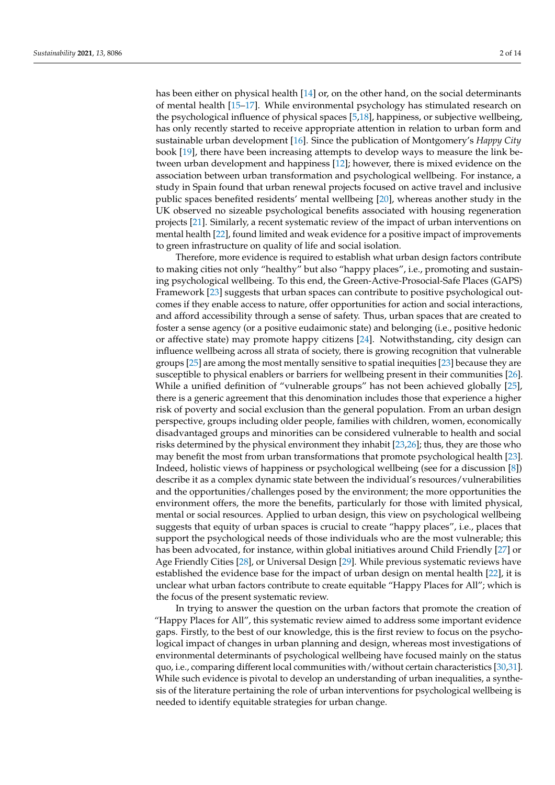has been either on physical health [\[14\]](#page-12-12) or, on the other hand, on the social determinants of mental health [\[15](#page-12-13)[–17\]](#page-12-14). While environmental psychology has stimulated research on the psychological influence of physical spaces [\[5,](#page-12-3)[18\]](#page-13-0), happiness, or subjective wellbeing, has only recently started to receive appropriate attention in relation to urban form and sustainable urban development [\[16\]](#page-12-15). Since the publication of Montgomery's *Happy City* book [\[19\]](#page-13-1), there have been increasing attempts to develop ways to measure the link between urban development and happiness [\[12\]](#page-12-10); however, there is mixed evidence on the association between urban transformation and psychological wellbeing. For instance, a study in Spain found that urban renewal projects focused on active travel and inclusive public spaces benefited residents' mental wellbeing [\[20\]](#page-13-2), whereas another study in the UK observed no sizeable psychological benefits associated with housing regeneration projects [\[21\]](#page-13-3). Similarly, a recent systematic review of the impact of urban interventions on mental health [\[22\]](#page-13-4), found limited and weak evidence for a positive impact of improvements to green infrastructure on quality of life and social isolation.

Therefore, more evidence is required to establish what urban design factors contribute to making cities not only "healthy" but also "happy places", i.e., promoting and sustaining psychological wellbeing. To this end, the Green-Active-Prosocial-Safe Places (GAPS) Framework [\[23\]](#page-13-5) suggests that urban spaces can contribute to positive psychological outcomes if they enable access to nature, offer opportunities for action and social interactions, and afford accessibility through a sense of safety. Thus, urban spaces that are created to foster a sense agency (or a positive eudaimonic state) and belonging (i.e., positive hedonic or affective state) may promote happy citizens [\[24\]](#page-13-6). Notwithstanding, city design can influence wellbeing across all strata of society, there is growing recognition that vulnerable groups [\[25\]](#page-13-7) are among the most mentally sensitive to spatial inequities [\[23\]](#page-13-5) because they are susceptible to physical enablers or barriers for wellbeing present in their communities [\[26\]](#page-13-8). While a unified definition of "vulnerable groups" has not been achieved globally [\[25\]](#page-13-7), there is a generic agreement that this denomination includes those that experience a higher risk of poverty and social exclusion than the general population. From an urban design perspective, groups including older people, families with children, women, economically disadvantaged groups and minorities can be considered vulnerable to health and social risks determined by the physical environment they inhabit [\[23,](#page-13-5)[26\]](#page-13-8); thus, they are those who may benefit the most from urban transformations that promote psychological health [\[23\]](#page-13-5). Indeed, holistic views of happiness or psychological wellbeing (see for a discussion [\[8\]](#page-12-6)) describe it as a complex dynamic state between the individual's resources/vulnerabilities and the opportunities/challenges posed by the environment; the more opportunities the environment offers, the more the benefits, particularly for those with limited physical, mental or social resources. Applied to urban design, this view on psychological wellbeing suggests that equity of urban spaces is crucial to create "happy places", i.e., places that support the psychological needs of those individuals who are the most vulnerable; this has been advocated, for instance, within global initiatives around Child Friendly [\[27\]](#page-13-9) or Age Friendly Cities [\[28\]](#page-13-10), or Universal Design [\[29\]](#page-13-11). While previous systematic reviews have established the evidence base for the impact of urban design on mental health [\[22\]](#page-13-4), it is unclear what urban factors contribute to create equitable "Happy Places for All"; which is the focus of the present systematic review.

In trying to answer the question on the urban factors that promote the creation of "Happy Places for All", this systematic review aimed to address some important evidence gaps. Firstly, to the best of our knowledge, this is the first review to focus on the psychological impact of changes in urban planning and design, whereas most investigations of environmental determinants of psychological wellbeing have focused mainly on the status quo, i.e., comparing different local communities with/without certain characteristics [\[30](#page-13-12)[,31\]](#page-13-13). While such evidence is pivotal to develop an understanding of urban inequalities, a synthesis of the literature pertaining the role of urban interventions for psychological wellbeing is needed to identify equitable strategies for urban change.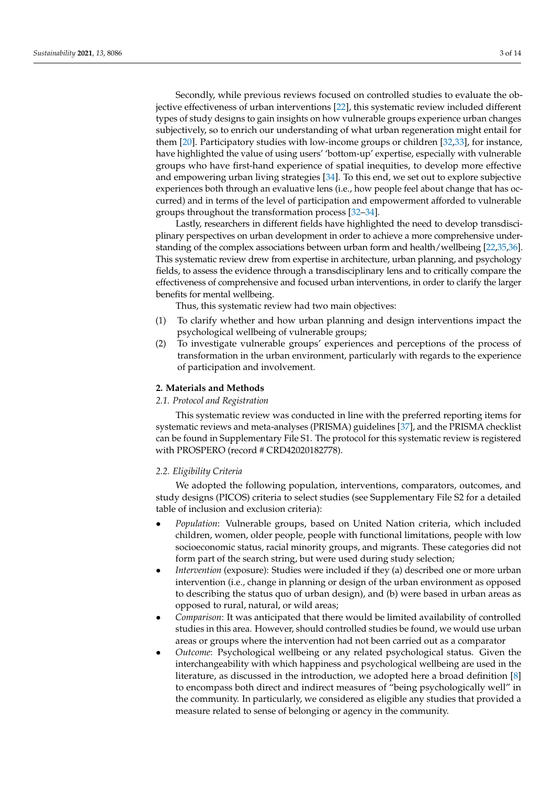Secondly, while previous reviews focused on controlled studies to evaluate the objective effectiveness of urban interventions [\[22\]](#page-13-4), this systematic review included different types of study designs to gain insights on how vulnerable groups experience urban changes subjectively, so to enrich our understanding of what urban regeneration might entail for them [\[20\]](#page-13-2). Participatory studies with low-income groups or children [\[32](#page-13-14)[,33\]](#page-13-15), for instance, have highlighted the value of using users' 'bottom-up' expertise, especially with vulnerable groups who have first-hand experience of spatial inequities, to develop more effective and empowering urban living strategies [\[34\]](#page-13-16). To this end, we set out to explore subjective experiences both through an evaluative lens (i.e., how people feel about change that has occurred) and in terms of the level of participation and empowerment afforded to vulnerable groups throughout the transformation process [\[32–](#page-13-14)[34\]](#page-13-16).

Lastly, researchers in different fields have highlighted the need to develop transdisciplinary perspectives on urban development in order to achieve a more comprehensive understanding of the complex associations between urban form and health/wellbeing [\[22](#page-13-4)[,35](#page-13-17)[,36\]](#page-13-18). This systematic review drew from expertise in architecture, urban planning, and psychology fields, to assess the evidence through a transdisciplinary lens and to critically compare the effectiveness of comprehensive and focused urban interventions, in order to clarify the larger benefits for mental wellbeing.

Thus, this systematic review had two main objectives:

- (1) To clarify whether and how urban planning and design interventions impact the psychological wellbeing of vulnerable groups;
- (2) To investigate vulnerable groups' experiences and perceptions of the process of transformation in the urban environment, particularly with regards to the experience of participation and involvement.

# **2. Materials and Methods**

# *2.1. Protocol and Registration*

This systematic review was conducted in line with the preferred reporting items for systematic reviews and meta-analyses (PRISMA) guidelines [\[37\]](#page-13-19), and the PRISMA checklist can be found in Supplementary File S1. The protocol for this systematic review is registered with PROSPERO (record # CRD42020182778).

# *2.2. Eligibility Criteria*

We adopted the following population, interventions, comparators, outcomes, and study designs (PICOS) criteria to select studies (see Supplementary File S2 for a detailed table of inclusion and exclusion criteria):

- *Population*: Vulnerable groups, based on United Nation criteria, which included children, women, older people, people with functional limitations, people with low socioeconomic status, racial minority groups, and migrants. These categories did not form part of the search string, but were used during study selection;
- *Intervention* (exposure): Studies were included if they (a) described one or more urban intervention (i.e., change in planning or design of the urban environment as opposed to describing the status quo of urban design), and (b) were based in urban areas as opposed to rural, natural, or wild areas;
- *Comparison*: It was anticipated that there would be limited availability of controlled studies in this area. However, should controlled studies be found, we would use urban areas or groups where the intervention had not been carried out as a comparator
- *Outcome*: Psychological wellbeing or any related psychological status. Given the interchangeability with which happiness and psychological wellbeing are used in the literature, as discussed in the introduction, we adopted here a broad definition [\[8\]](#page-12-6) to encompass both direct and indirect measures of "being psychologically well" in the community. In particularly, we considered as eligible any studies that provided a measure related to sense of belonging or agency in the community.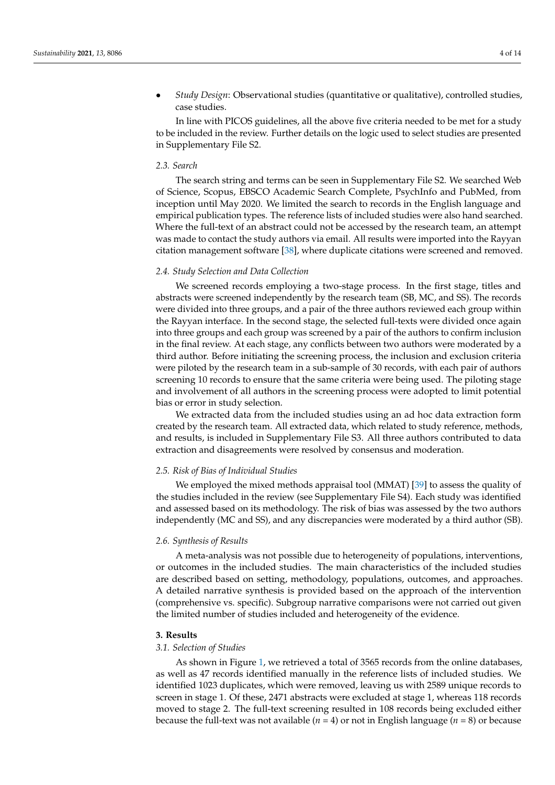• *Study Design*: Observational studies (quantitative or qualitative), controlled studies, case studies.

In line with PICOS guidelines, all the above five criteria needed to be met for a study to be included in the review. Further details on the logic used to select studies are presented in Supplementary File S2.

#### *2.3. Search*

The search string and terms can be seen in Supplementary File S2. We searched Web of Science, Scopus, EBSCO Academic Search Complete, PsychInfo and PubMed, from inception until May 2020. We limited the search to records in the English language and empirical publication types. The reference lists of included studies were also hand searched. Where the full-text of an abstract could not be accessed by the research team, an attempt was made to contact the study authors via email. All results were imported into the Rayyan citation management software [\[38\]](#page-13-20), where duplicate citations were screened and removed.

# *2.4. Study Selection and Data Collection*

We screened records employing a two-stage process. In the first stage, titles and abstracts were screened independently by the research team (SB, MC, and SS). The records were divided into three groups, and a pair of the three authors reviewed each group within the Rayyan interface. In the second stage, the selected full-texts were divided once again into three groups and each group was screened by a pair of the authors to confirm inclusion in the final review. At each stage, any conflicts between two authors were moderated by a third author. Before initiating the screening process, the inclusion and exclusion criteria were piloted by the research team in a sub-sample of 30 records, with each pair of authors screening 10 records to ensure that the same criteria were being used. The piloting stage and involvement of all authors in the screening process were adopted to limit potential bias or error in study selection.

We extracted data from the included studies using an ad hoc data extraction form created by the research team. All extracted data, which related to study reference, methods, and results, is included in Supplementary File S3. All three authors contributed to data extraction and disagreements were resolved by consensus and moderation.

#### *2.5. Risk of Bias of Individual Studies*

We employed the mixed methods appraisal tool (MMAT) [\[39\]](#page-13-21) to assess the quality of the studies included in the review (see Supplementary File S4). Each study was identified and assessed based on its methodology. The risk of bias was assessed by the two authors independently (MC and SS), and any discrepancies were moderated by a third author (SB).

#### *2.6. Synthesis of Results*

A meta-analysis was not possible due to heterogeneity of populations, interventions, or outcomes in the included studies. The main characteristics of the included studies are described based on setting, methodology, populations, outcomes, and approaches. A detailed narrative synthesis is provided based on the approach of the intervention (comprehensive vs. specific). Subgroup narrative comparisons were not carried out given the limited number of studies included and heterogeneity of the evidence.

#### **3. Results**

### *3.1. Selection of Studies*

As shown in Figure [1,](#page-5-0) we retrieved a total of 3565 records from the online databases, as well as 47 records identified manually in the reference lists of included studies. We identified 1023 duplicates, which were removed, leaving us with 2589 unique records to screen in stage 1. Of these, 2471 abstracts were excluded at stage 1, whereas 118 records moved to stage 2. The full-text screening resulted in 108 records being excluded either because the full-text was not available  $(n = 4)$  or not in English language  $(n = 8)$  or because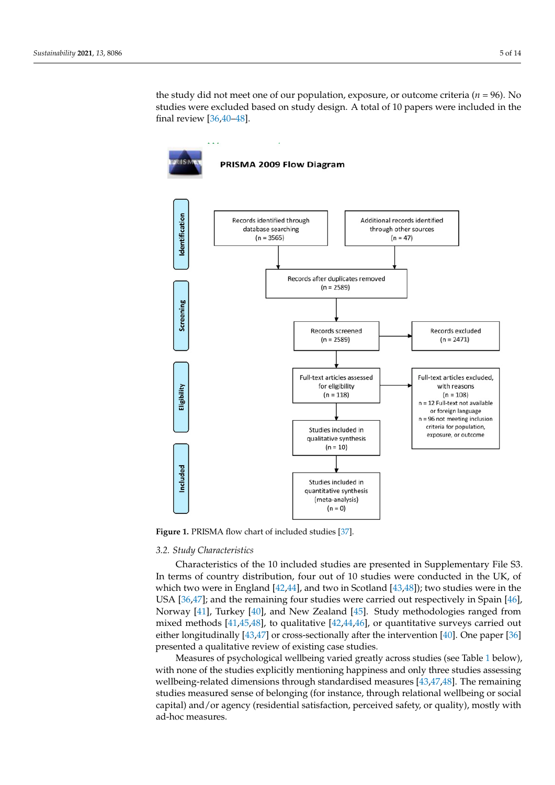the study did not meet one of our population, exposure, or outcome criteria ( $n = 96$ ). No studies were excluded based on study design. A total of 10 papers were included in the studies were excluded based on study design. A total of 10 papers were included in the final review [\[36](#page-13-18)[,40–](#page-13-22)[48\]](#page-14-0). final review [36,40–48].

<span id="page-5-0"></span>

**Figure 1.** PRISMA flow chart of included studies [37]. **Figure 1.** PRISMA flow chart of included studies [\[37\]](#page-13-19).

# *3.2. Study Characteristics*

*3.2. Study Characteristics*  Characteristics of the 10 included studies are presented in Supplementary File S3. In terms of country distribution, four out of 10 studies were conducted in the UK, of which two we[re](#page-13-25) in England [42,44], and two in Scotland [43,48]); two studies were in the USA  $[36,47]$ ; and the remaining four studies w[ere](#page-13-18) carried out respectively [in](#page-14-1) Spain [46], Norway [\[41\]](#page-13-26), Turkey [\[40\]](#page-13-22), and New Zealand [\[45\]](#page-13-27). Study methodologies ranged from mixed methods [\[41,](#page-13-26)[45,](#page-13-27)[48\]](#page-14-0), to qualitative [\[42,](#page-13-23)[44](#page-13-24)[,46\]](#page-14-2), or quantitative surveys carried out either longitudinally [\[43](#page-13-25)[,47\]](#page-14-1) or cross-sectionally after the intervention [\[40\]](#page-13-22). One paper [\[36\]](#page-13-18) presented a qualitative review of existing case studies.

Measures of psychological wellbeing varied greatly across studies (see Table [1](#page-6-0) below), with none of the studies explicitly mentioning happiness and only three studies assessing wellbeing-related dimensions through standardised measures [\[43](#page-13-25)[,47](#page-14-1)[,48\]](#page-14-0). The remaining studies measured sense of belonging (for instance, through relational wellbeing or social capital) and/or agency (residential satisfaction, perceived safety, or quality), mostly with ad-hoc measures.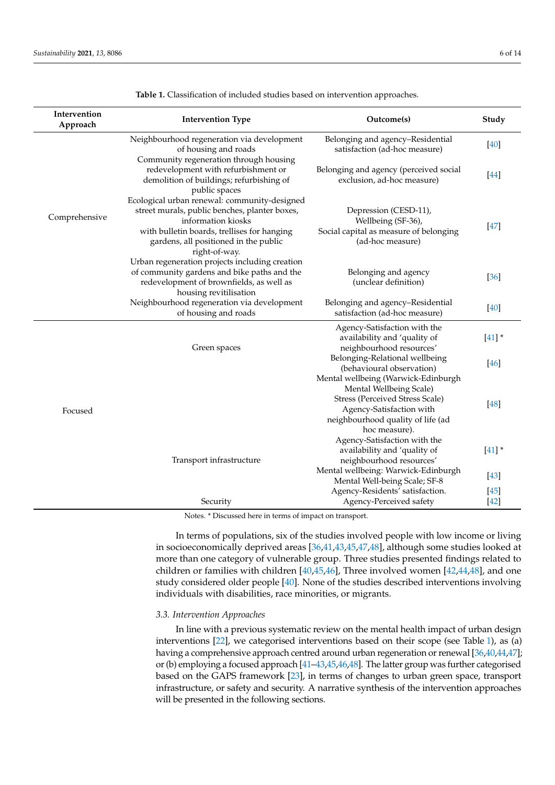<span id="page-6-0"></span>

| Intervention<br>Approach | <b>Intervention Type</b>                                                                                                                                                                                                     | Outcome(s)                                                                                                                                   | Study            |
|--------------------------|------------------------------------------------------------------------------------------------------------------------------------------------------------------------------------------------------------------------------|----------------------------------------------------------------------------------------------------------------------------------------------|------------------|
| Comprehensive            | Neighbourhood regeneration via development<br>of housing and roads<br>Community regeneration through housing                                                                                                                 | Belonging and agency-Residential<br>satisfaction (ad-hoc measure)                                                                            | $[40]$           |
|                          | redevelopment with refurbishment or<br>demolition of buildings; refurbishing of<br>public spaces                                                                                                                             | Belonging and agency (perceived social<br>exclusion, ad-hoc measure)                                                                         | $[44]$           |
|                          | Ecological urban renewal: community-designed<br>street murals, public benches, planter boxes,<br>information kiosks<br>with bulletin boards, trellises for hanging<br>gardens, all positioned in the public<br>right-of-way. | Depression (CESD-11),<br>Wellbeing (SF-36),<br>Social capital as measure of belonging<br>(ad-hoc measure)                                    | $[47]$           |
|                          | Urban regeneration projects including creation<br>of community gardens and bike paths and the<br>redevelopment of brownfields, as well as<br>housing revitilisation                                                          | Belonging and agency<br>(unclear definition)                                                                                                 | [36]             |
|                          | Neighbourhood regeneration via development<br>of housing and roads                                                                                                                                                           | Belonging and agency-Residential<br>satisfaction (ad-hoc measure)                                                                            | [40]             |
| Focused                  | Green spaces                                                                                                                                                                                                                 | Agency-Satisfaction with the<br>availability and 'quality of<br>neighbourhood resources'                                                     | $[41]$ *         |
|                          |                                                                                                                                                                                                                              | Belonging-Relational wellbeing<br>(behavioural observation)<br>Mental wellbeing (Warwick-Edinburgh                                           | $[46]$           |
|                          |                                                                                                                                                                                                                              | Mental Wellbeing Scale)<br>Stress (Perceived Stress Scale)<br>Agency-Satisfaction with<br>neighbourhood quality of life (ad<br>hoc measure). | [48]             |
|                          | Transport infrastructure                                                                                                                                                                                                     | Agency-Satisfaction with the<br>availability and 'quality of<br>neighbourhood resources'                                                     | $[41]$ *         |
|                          |                                                                                                                                                                                                                              | Mental wellbeing: Warwick-Edinburgh<br>Mental Well-being Scale; SF-8                                                                         | $[43]$           |
|                          | Security<br>$*$ $\mathbb{D}^*$<br>11<br>$\mathfrak{c}$ .<br><b>AT</b>                                                                                                                                                        | Agency-Residents' satisfaction.<br>Agency-Perceived safety                                                                                   | $[45]$<br>$[42]$ |

**Table 1.** Classification of included studies based on intervention approaches.

Notes. \* Discussed here in terms of impact on transport.

In terms of populations, six of the studies involved people with low income or living in socioeconomically deprived areas [\[36](#page-13-18)[,41](#page-13-26)[,43](#page-13-25)[,45](#page-13-27)[,47](#page-14-1)[,48\]](#page-14-0), although some studies looked at more than one category of vulnerable group. Three studies presented findings related to children or families with children [\[40](#page-13-22)[,45](#page-13-27)[,46\]](#page-14-2), Three involved women [\[42](#page-13-23)[,44](#page-13-24)[,48\]](#page-14-0), and one study considered older people [\[40\]](#page-13-22). None of the studies described interventions involving individuals with disabilities, race minorities, or migrants.

## *3.3. Intervention Approaches*

In line with a previous systematic review on the mental health impact of urban design interventions [\[22\]](#page-13-4), we categorised interventions based on their scope (see Table [1\)](#page-6-0), as (a) having a comprehensive approach centred around urban regeneration or renewal [\[36](#page-13-18)[,40](#page-13-22)[,44](#page-13-24)[,47\]](#page-14-1); or (b) employing a focused approach [\[41–](#page-13-26)[43](#page-13-25)[,45](#page-13-27)[,46](#page-14-2)[,48\]](#page-14-0). The latter group was further categorised based on the GAPS framework [\[23\]](#page-13-5), in terms of changes to urban green space, transport infrastructure, or safety and security. A narrative synthesis of the intervention approaches will be presented in the following sections.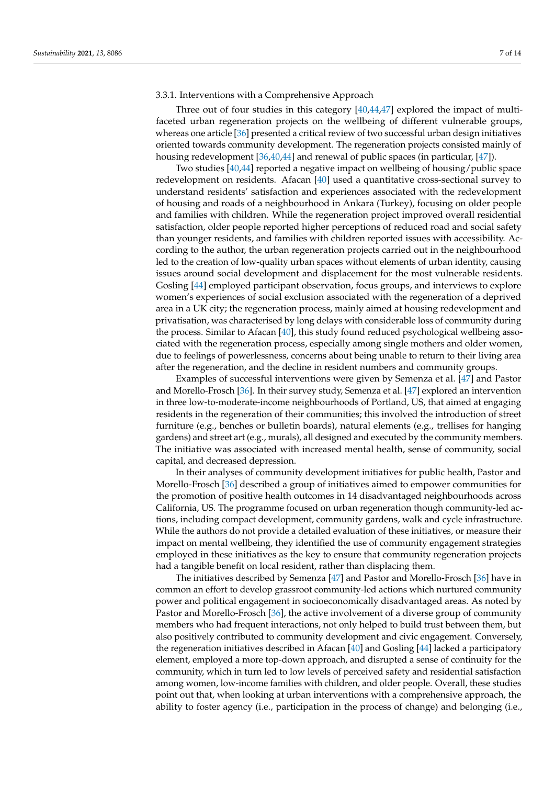# 3.3.1. Interventions with a Comprehensive Approach

Three out of four studies in this category [\[40,](#page-13-22)[44,](#page-13-24)[47\]](#page-14-1) explored the impact of multifaceted urban regeneration projects on the wellbeing of different vulnerable groups, whereas one article [\[36\]](#page-13-18) presented a critical review of two successful urban design initiatives oriented towards community development. The regeneration projects consisted mainly of housing redevelopment [\[36](#page-13-18)[,40](#page-13-22)[,44\]](#page-13-24) and renewal of public spaces (in particular, [\[47\]](#page-14-1)).

Two studies [\[40](#page-13-22)[,44\]](#page-13-24) reported a negative impact on wellbeing of housing/public space redevelopment on residents. Afacan [\[40\]](#page-13-22) used a quantitative cross-sectional survey to understand residents' satisfaction and experiences associated with the redevelopment of housing and roads of a neighbourhood in Ankara (Turkey), focusing on older people and families with children. While the regeneration project improved overall residential satisfaction, older people reported higher perceptions of reduced road and social safety than younger residents, and families with children reported issues with accessibility. According to the author, the urban regeneration projects carried out in the neighbourhood led to the creation of low-quality urban spaces without elements of urban identity, causing issues around social development and displacement for the most vulnerable residents. Gosling [\[44\]](#page-13-24) employed participant observation, focus groups, and interviews to explore women's experiences of social exclusion associated with the regeneration of a deprived area in a UK city; the regeneration process, mainly aimed at housing redevelopment and privatisation, was characterised by long delays with considerable loss of community during the process. Similar to Afacan [\[40\]](#page-13-22), this study found reduced psychological wellbeing associated with the regeneration process, especially among single mothers and older women, due to feelings of powerlessness, concerns about being unable to return to their living area after the regeneration, and the decline in resident numbers and community groups.

Examples of successful interventions were given by Semenza et al. [\[47\]](#page-14-1) and Pastor and Morello-Frosch [\[36\]](#page-13-18). In their survey study, Semenza et al. [\[47\]](#page-14-1) explored an intervention in three low-to-moderate-income neighbourhoods of Portland, US, that aimed at engaging residents in the regeneration of their communities; this involved the introduction of street furniture (e.g., benches or bulletin boards), natural elements (e.g., trellises for hanging gardens) and street art (e.g., murals), all designed and executed by the community members. The initiative was associated with increased mental health, sense of community, social capital, and decreased depression.

In their analyses of community development initiatives for public health, Pastor and Morello-Frosch [\[36\]](#page-13-18) described a group of initiatives aimed to empower communities for the promotion of positive health outcomes in 14 disadvantaged neighbourhoods across California, US. The programme focused on urban regeneration though community-led actions, including compact development, community gardens, walk and cycle infrastructure. While the authors do not provide a detailed evaluation of these initiatives, or measure their impact on mental wellbeing, they identified the use of community engagement strategies employed in these initiatives as the key to ensure that community regeneration projects had a tangible benefit on local resident, rather than displacing them.

The initiatives described by Semenza [\[47\]](#page-14-1) and Pastor and Morello-Frosch [\[36\]](#page-13-18) have in common an effort to develop grassroot community-led actions which nurtured community power and political engagement in socioeconomically disadvantaged areas. As noted by Pastor and Morello-Frosch [\[36\]](#page-13-18), the active involvement of a diverse group of community members who had frequent interactions, not only helped to build trust between them, but also positively contributed to community development and civic engagement. Conversely, the regeneration initiatives described in Afacan [\[40\]](#page-13-22) and Gosling [\[44\]](#page-13-24) lacked a participatory element, employed a more top-down approach, and disrupted a sense of continuity for the community, which in turn led to low levels of perceived safety and residential satisfaction among women, low-income families with children, and older people. Overall, these studies point out that, when looking at urban interventions with a comprehensive approach, the ability to foster agency (i.e., participation in the process of change) and belonging (i.e.,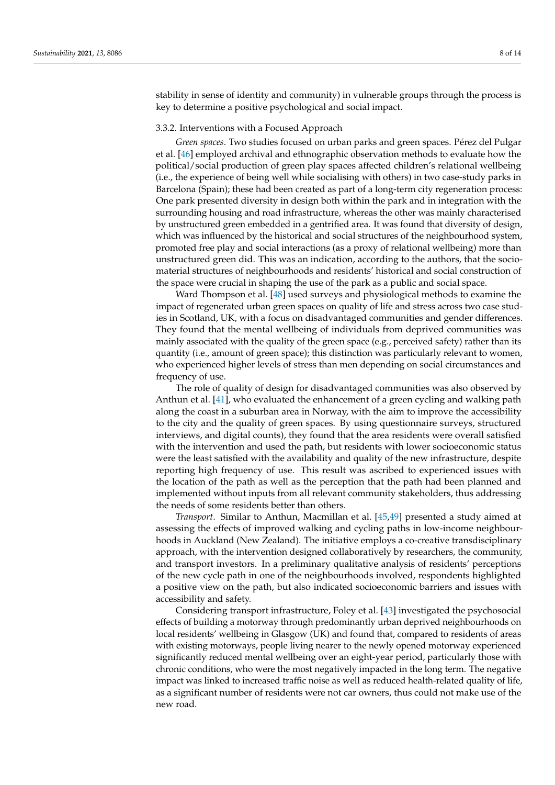stability in sense of identity and community) in vulnerable groups through the process is key to determine a positive psychological and social impact.

# 3.3.2. Interventions with a Focused Approach

*Green spaces*. Two studies focused on urban parks and green spaces. Pérez del Pulgar et al. [\[46\]](#page-14-2) employed archival and ethnographic observation methods to evaluate how the political/social production of green play spaces affected children's relational wellbeing (i.e., the experience of being well while socialising with others) in two case-study parks in Barcelona (Spain); these had been created as part of a long-term city regeneration process: One park presented diversity in design both within the park and in integration with the surrounding housing and road infrastructure, whereas the other was mainly characterised by unstructured green embedded in a gentrified area. It was found that diversity of design, which was influenced by the historical and social structures of the neighbourhood system, promoted free play and social interactions (as a proxy of relational wellbeing) more than unstructured green did. This was an indication, according to the authors, that the sociomaterial structures of neighbourhoods and residents' historical and social construction of the space were crucial in shaping the use of the park as a public and social space.

Ward Thompson et al. [\[48\]](#page-14-0) used surveys and physiological methods to examine the impact of regenerated urban green spaces on quality of life and stress across two case studies in Scotland, UK, with a focus on disadvantaged communities and gender differences. They found that the mental wellbeing of individuals from deprived communities was mainly associated with the quality of the green space (e.g., perceived safety) rather than its quantity (i.e., amount of green space); this distinction was particularly relevant to women, who experienced higher levels of stress than men depending on social circumstances and frequency of use.

The role of quality of design for disadvantaged communities was also observed by Anthun et al. [\[41\]](#page-13-26), who evaluated the enhancement of a green cycling and walking path along the coast in a suburban area in Norway, with the aim to improve the accessibility to the city and the quality of green spaces. By using questionnaire surveys, structured interviews, and digital counts), they found that the area residents were overall satisfied with the intervention and used the path, but residents with lower socioeconomic status were the least satisfied with the availability and quality of the new infrastructure, despite reporting high frequency of use. This result was ascribed to experienced issues with the location of the path as well as the perception that the path had been planned and implemented without inputs from all relevant community stakeholders, thus addressing the needs of some residents better than others.

*Transport*. Similar to Anthun, Macmillan et al. [\[45](#page-13-27)[,49\]](#page-14-3) presented a study aimed at assessing the effects of improved walking and cycling paths in low-income neighbourhoods in Auckland (New Zealand). The initiative employs a co-creative transdisciplinary approach, with the intervention designed collaboratively by researchers, the community, and transport investors. In a preliminary qualitative analysis of residents' perceptions of the new cycle path in one of the neighbourhoods involved, respondents highlighted a positive view on the path, but also indicated socioeconomic barriers and issues with accessibility and safety.

Considering transport infrastructure, Foley et al. [\[43\]](#page-13-25) investigated the psychosocial effects of building a motorway through predominantly urban deprived neighbourhoods on local residents' wellbeing in Glasgow (UK) and found that, compared to residents of areas with existing motorways, people living nearer to the newly opened motorway experienced significantly reduced mental wellbeing over an eight-year period, particularly those with chronic conditions, who were the most negatively impacted in the long term. The negative impact was linked to increased traffic noise as well as reduced health-related quality of life, as a significant number of residents were not car owners, thus could not make use of the new road.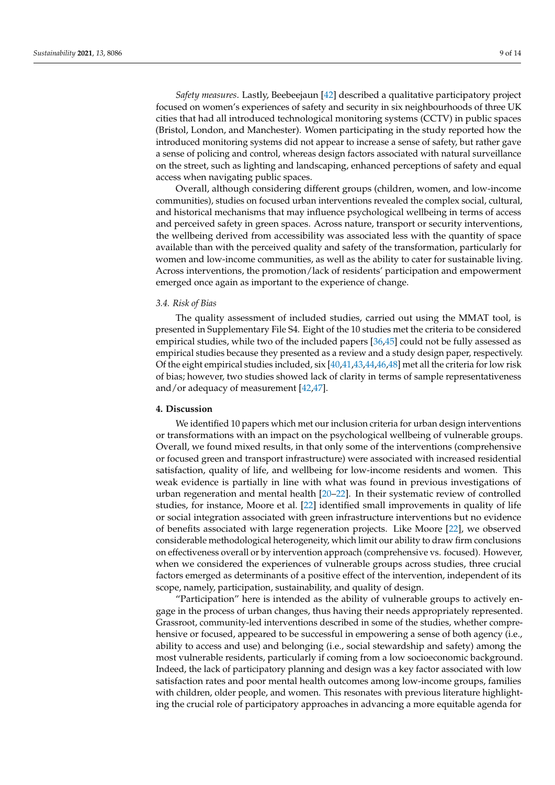*Safety measures*. Lastly, Beebeejaun [\[42\]](#page-13-23) described a qualitative participatory project focused on women's experiences of safety and security in six neighbourhoods of three UK cities that had all introduced technological monitoring systems (CCTV) in public spaces (Bristol, London, and Manchester). Women participating in the study reported how the introduced monitoring systems did not appear to increase a sense of safety, but rather gave a sense of policing and control, whereas design factors associated with natural surveillance on the street, such as lighting and landscaping, enhanced perceptions of safety and equal access when navigating public spaces.

Overall, although considering different groups (children, women, and low-income communities), studies on focused urban interventions revealed the complex social, cultural, and historical mechanisms that may influence psychological wellbeing in terms of access and perceived safety in green spaces. Across nature, transport or security interventions, the wellbeing derived from accessibility was associated less with the quantity of space available than with the perceived quality and safety of the transformation, particularly for women and low-income communities, as well as the ability to cater for sustainable living. Across interventions, the promotion/lack of residents' participation and empowerment emerged once again as important to the experience of change.

## *3.4. Risk of Bias*

The quality assessment of included studies, carried out using the MMAT tool, is presented in Supplementary File S4. Eight of the 10 studies met the criteria to be considered empirical studies, while two of the included papers [\[36,](#page-13-18)[45\]](#page-13-27) could not be fully assessed as empirical studies because they presented as a review and a study design paper, respectively. Of the eight empirical studies included, six [\[40,](#page-13-22)[41,](#page-13-26)[43](#page-13-25)[,44](#page-13-24)[,46,](#page-14-2)[48\]](#page-14-0) met all the criteria for low risk of bias; however, two studies showed lack of clarity in terms of sample representativeness and/or adequacy of measurement [\[42](#page-13-23)[,47\]](#page-14-1).

# **4. Discussion**

We identified 10 papers which met our inclusion criteria for urban design interventions or transformations with an impact on the psychological wellbeing of vulnerable groups. Overall, we found mixed results, in that only some of the interventions (comprehensive or focused green and transport infrastructure) were associated with increased residential satisfaction, quality of life, and wellbeing for low-income residents and women. This weak evidence is partially in line with what was found in previous investigations of urban regeneration and mental health [\[20–](#page-13-2)[22\]](#page-13-4). In their systematic review of controlled studies, for instance, Moore et al. [\[22\]](#page-13-4) identified small improvements in quality of life or social integration associated with green infrastructure interventions but no evidence of benefits associated with large regeneration projects. Like Moore [\[22\]](#page-13-4), we observed considerable methodological heterogeneity, which limit our ability to draw firm conclusions on effectiveness overall or by intervention approach (comprehensive vs. focused). However, when we considered the experiences of vulnerable groups across studies, three crucial factors emerged as determinants of a positive effect of the intervention, independent of its scope, namely, participation, sustainability, and quality of design.

"Participation" here is intended as the ability of vulnerable groups to actively engage in the process of urban changes, thus having their needs appropriately represented. Grassroot, community-led interventions described in some of the studies, whether comprehensive or focused, appeared to be successful in empowering a sense of both agency (i.e., ability to access and use) and belonging (i.e., social stewardship and safety) among the most vulnerable residents, particularly if coming from a low socioeconomic background. Indeed, the lack of participatory planning and design was a key factor associated with low satisfaction rates and poor mental health outcomes among low-income groups, families with children, older people, and women. This resonates with previous literature highlighting the crucial role of participatory approaches in advancing a more equitable agenda for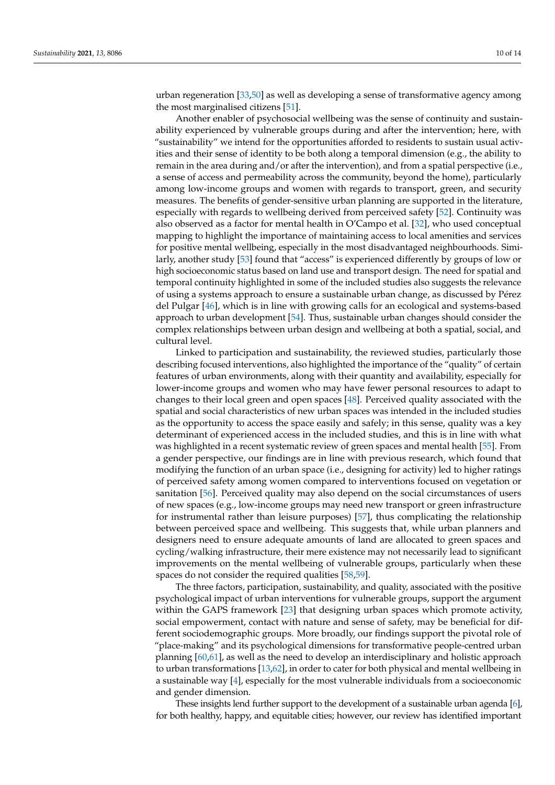urban regeneration [\[33](#page-13-15)[,50\]](#page-14-4) as well as developing a sense of transformative agency among the most marginalised citizens [\[51\]](#page-14-5).

Another enabler of psychosocial wellbeing was the sense of continuity and sustainability experienced by vulnerable groups during and after the intervention; here, with "sustainability" we intend for the opportunities afforded to residents to sustain usual activities and their sense of identity to be both along a temporal dimension (e.g., the ability to remain in the area during and/or after the intervention), and from a spatial perspective (i.e., a sense of access and permeability across the community, beyond the home), particularly among low-income groups and women with regards to transport, green, and security measures. The benefits of gender-sensitive urban planning are supported in the literature, especially with regards to wellbeing derived from perceived safety [\[52\]](#page-14-6). Continuity was also observed as a factor for mental health in O'Campo et al. [\[32\]](#page-13-14), who used conceptual mapping to highlight the importance of maintaining access to local amenities and services for positive mental wellbeing, especially in the most disadvantaged neighbourhoods. Similarly, another study [\[53\]](#page-14-7) found that "access" is experienced differently by groups of low or high socioeconomic status based on land use and transport design. The need for spatial and temporal continuity highlighted in some of the included studies also suggests the relevance of using a systems approach to ensure a sustainable urban change, as discussed by Pérez del Pulgar [\[46\]](#page-14-2), which is in line with growing calls for an ecological and systems-based approach to urban development [\[54\]](#page-14-8). Thus, sustainable urban changes should consider the complex relationships between urban design and wellbeing at both a spatial, social, and cultural level.

Linked to participation and sustainability, the reviewed studies, particularly those describing focused interventions, also highlighted the importance of the "quality" of certain features of urban environments, along with their quantity and availability, especially for lower-income groups and women who may have fewer personal resources to adapt to changes to their local green and open spaces [\[48\]](#page-14-0). Perceived quality associated with the spatial and social characteristics of new urban spaces was intended in the included studies as the opportunity to access the space easily and safely; in this sense, quality was a key determinant of experienced access in the included studies, and this is in line with what was highlighted in a recent systematic review of green spaces and mental health [\[55\]](#page-14-9). From a gender perspective, our findings are in line with previous research, which found that modifying the function of an urban space (i.e., designing for activity) led to higher ratings of perceived safety among women compared to interventions focused on vegetation or sanitation [\[56\]](#page-14-10). Perceived quality may also depend on the social circumstances of users of new spaces (e.g., low-income groups may need new transport or green infrastructure for instrumental rather than leisure purposes) [\[57\]](#page-14-11), thus complicating the relationship between perceived space and wellbeing. This suggests that, while urban planners and designers need to ensure adequate amounts of land are allocated to green spaces and cycling/walking infrastructure, their mere existence may not necessarily lead to significant improvements on the mental wellbeing of vulnerable groups, particularly when these spaces do not consider the required qualities [\[58,](#page-14-12)[59\]](#page-14-13).

The three factors, participation, sustainability, and quality, associated with the positive psychological impact of urban interventions for vulnerable groups, support the argument within the GAPS framework [\[23\]](#page-13-5) that designing urban spaces which promote activity, social empowerment, contact with nature and sense of safety, may be beneficial for different sociodemographic groups. More broadly, our findings support the pivotal role of "place-making" and its psychological dimensions for transformative people-centred urban planning [\[60,](#page-14-14)[61\]](#page-14-15), as well as the need to develop an interdisciplinary and holistic approach to urban transformations [\[13,](#page-12-11)[62\]](#page-14-16), in order to cater for both physical and mental wellbeing in a sustainable way [\[4\]](#page-12-2), especially for the most vulnerable individuals from a socioeconomic and gender dimension.

These insights lend further support to the development of a sustainable urban agenda [\[6\]](#page-12-4), for both healthy, happy, and equitable cities; however, our review has identified important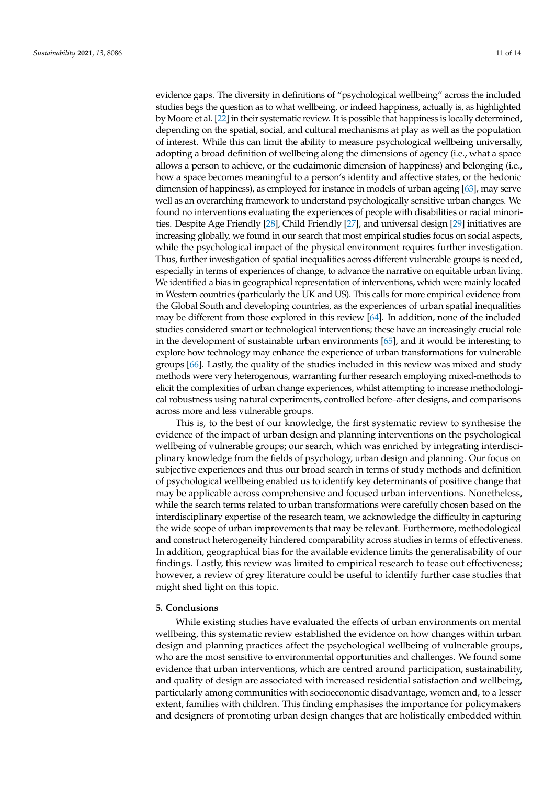evidence gaps. The diversity in definitions of "psychological wellbeing" across the included studies begs the question as to what wellbeing, or indeed happiness, actually is, as highlighted by Moore et al. [\[22\]](#page-13-4) in their systematic review. It is possible that happiness is locally determined, depending on the spatial, social, and cultural mechanisms at play as well as the population of interest. While this can limit the ability to measure psychological wellbeing universally, adopting a broad definition of wellbeing along the dimensions of agency (i.e., what a space allows a person to achieve, or the eudaimonic dimension of happiness) and belonging (i.e., how a space becomes meaningful to a person's identity and affective states, or the hedonic dimension of happiness), as employed for instance in models of urban ageing [\[63\]](#page-14-17), may serve well as an overarching framework to understand psychologically sensitive urban changes. We found no interventions evaluating the experiences of people with disabilities or racial minorities. Despite Age Friendly [\[28\]](#page-13-10), Child Friendly [\[27\]](#page-13-9), and universal design [\[29\]](#page-13-11) initiatives are increasing globally, we found in our search that most empirical studies focus on social aspects, while the psychological impact of the physical environment requires further investigation. Thus, further investigation of spatial inequalities across different vulnerable groups is needed, especially in terms of experiences of change, to advance the narrative on equitable urban living. We identified a bias in geographical representation of interventions, which were mainly located in Western countries (particularly the UK and US). This calls for more empirical evidence from the Global South and developing countries, as the experiences of urban spatial inequalities may be different from those explored in this review [\[64\]](#page-14-18). In addition, none of the included studies considered smart or technological interventions; these have an increasingly crucial role in the development of sustainable urban environments [\[65\]](#page-14-19), and it would be interesting to explore how technology may enhance the experience of urban transformations for vulnerable groups [\[66\]](#page-14-20). Lastly, the quality of the studies included in this review was mixed and study methods were very heterogenous, warranting further research employing mixed-methods to elicit the complexities of urban change experiences, whilst attempting to increase methodological robustness using natural experiments, controlled before–after designs, and comparisons across more and less vulnerable groups.

This is, to the best of our knowledge, the first systematic review to synthesise the evidence of the impact of urban design and planning interventions on the psychological wellbeing of vulnerable groups; our search, which was enriched by integrating interdisciplinary knowledge from the fields of psychology, urban design and planning. Our focus on subjective experiences and thus our broad search in terms of study methods and definition of psychological wellbeing enabled us to identify key determinants of positive change that may be applicable across comprehensive and focused urban interventions. Nonetheless, while the search terms related to urban transformations were carefully chosen based on the interdisciplinary expertise of the research team, we acknowledge the difficulty in capturing the wide scope of urban improvements that may be relevant. Furthermore, methodological and construct heterogeneity hindered comparability across studies in terms of effectiveness. In addition, geographical bias for the available evidence limits the generalisability of our findings. Lastly, this review was limited to empirical research to tease out effectiveness; however, a review of grey literature could be useful to identify further case studies that might shed light on this topic.

### **5. Conclusions**

While existing studies have evaluated the effects of urban environments on mental wellbeing, this systematic review established the evidence on how changes within urban design and planning practices affect the psychological wellbeing of vulnerable groups, who are the most sensitive to environmental opportunities and challenges. We found some evidence that urban interventions, which are centred around participation, sustainability, and quality of design are associated with increased residential satisfaction and wellbeing, particularly among communities with socioeconomic disadvantage, women and, to a lesser extent, families with children. This finding emphasises the importance for policymakers and designers of promoting urban design changes that are holistically embedded within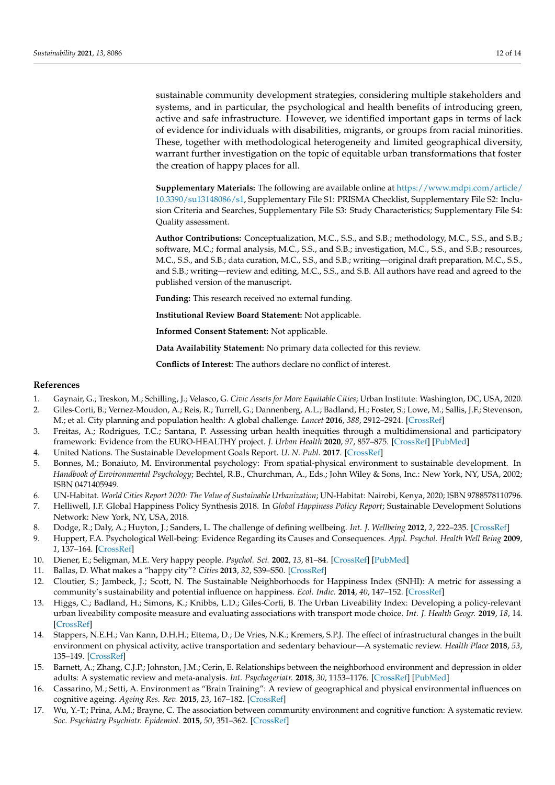sustainable community development strategies, considering multiple stakeholders and systems, and in particular, the psychological and health benefits of introducing green, active and safe infrastructure. However, we identified important gaps in terms of lack of evidence for individuals with disabilities, migrants, or groups from racial minorities. These, together with methodological heterogeneity and limited geographical diversity, warrant further investigation on the topic of equitable urban transformations that foster the creation of happy places for all.

**Supplementary Materials:** The following are available online at [https://www.mdpi.com/article/](https://www.mdpi.com/article/10.3390/su13148086/s1) [10.3390/su13148086/s1,](https://www.mdpi.com/article/10.3390/su13148086/s1) Supplementary File S1: PRISMA Checklist, Supplementary File S2: Inclusion Criteria and Searches, Supplementary File S3: Study Characteristics; Supplementary File S4: Quality assessment.

**Author Contributions:** Conceptualization, M.C., S.S., and S.B.; methodology, M.C., S.S., and S.B.; software, M.C.; formal analysis, M.C., S.S., and S.B.; investigation, M.C., S.S., and S.B.; resources, M.C., S.S., and S.B.; data curation, M.C., S.S., and S.B.; writing—original draft preparation, M.C., S.S., and S.B.; writing—review and editing, M.C., S.S., and S.B. All authors have read and agreed to the published version of the manuscript.

**Funding:** This research received no external funding.

**Institutional Review Board Statement:** Not applicable.

**Informed Consent Statement:** Not applicable.

**Data Availability Statement:** No primary data collected for this review.

**Conflicts of Interest:** The authors declare no conflict of interest.

# **References**

- <span id="page-12-0"></span>1. Gaynair, G.; Treskon, M.; Schilling, J.; Velasco, G. *Civic Assets for More Equitable Cities*; Urban Institute: Washington, DC, USA, 2020.
- 2. Giles-Corti, B.; Vernez-Moudon, A.; Reis, R.; Turrell, G.; Dannenberg, A.L.; Badland, H.; Foster, S.; Lowe, M.; Sallis, J.F.; Stevenson, M.; et al. City planning and population health: A global challenge. *Lancet* **2016**, *388*, 2912–2924. [\[CrossRef\]](http://doi.org/10.1016/S0140-6736(16)30066-6)
- <span id="page-12-1"></span>3. Freitas, A.; Rodrigues, T.C.; Santana, P. Assessing urban health inequities through a multidimensional and participatory framework: Evidence from the EURO-HEALTHY project. *J. Urban Health* **2020**, *97*, 857–875. [\[CrossRef\]](http://doi.org/10.1007/s11524-020-00471-5) [\[PubMed\]](http://www.ncbi.nlm.nih.gov/pubmed/32860097)
- <span id="page-12-2"></span>4. United Nations. The Sustainable Development Goals Report. *U. N. Publ.* **2017**. [\[CrossRef\]](http://doi.org/10.18356/3405d09f-en)
- <span id="page-12-3"></span>5. Bonnes, M.; Bonaiuto, M. Environmental psychology: From spatial-physical environment to sustainable development. In *Handbook of Environmental Psychology*; Bechtel, R.B., Churchman, A., Eds.; John Wiley & Sons, Inc.: New York, NY, USA, 2002; ISBN 0471405949.
- <span id="page-12-4"></span>6. UN-Habitat. *World Cities Report 2020: The Value of Sustainable Urbanization*; UN-Habitat: Nairobi, Kenya, 2020; ISBN 9788578110796.
- <span id="page-12-5"></span>7. Helliwell, J.F. Global Happiness Policy Synthesis 2018. In *Global Happiness Policy Report*; Sustainable Development Solutions Network: New York, NY, USA, 2018.
- <span id="page-12-6"></span>8. Dodge, R.; Daly, A.; Huyton, J.; Sanders, L. The challenge of defining wellbeing. *Int. J. Wellbeing* **2012**, *2*, 222–235. [\[CrossRef\]](http://doi.org/10.5502/ijw.v2i3.4)
- <span id="page-12-7"></span>9. Huppert, F.A. Psychological Well-being: Evidence Regarding its Causes and Consequences. *Appl. Psychol. Health Well Being* **2009**, *1*, 137–164. [\[CrossRef\]](http://doi.org/10.1111/j.1758-0854.2009.01008.x)
- <span id="page-12-8"></span>10. Diener, E.; Seligman, M.E. Very happy people. *Psychol. Sci.* **2002**, *13*, 81–84. [\[CrossRef\]](http://doi.org/10.1111/1467-9280.00415) [\[PubMed\]](http://www.ncbi.nlm.nih.gov/pubmed/11894851)
- <span id="page-12-9"></span>11. Ballas, D. What makes a "happy city"? *Cities* **2013**, *32*, S39–S50. [\[CrossRef\]](http://doi.org/10.1016/j.cities.2013.04.009)
- <span id="page-12-10"></span>12. Cloutier, S.; Jambeck, J.; Scott, N. The Sustainable Neighborhoods for Happiness Index (SNHI): A metric for assessing a community's sustainability and potential influence on happiness. *Ecol. Indic.* **2014**, *40*, 147–152. [\[CrossRef\]](http://doi.org/10.1016/j.ecolind.2014.01.012)
- <span id="page-12-11"></span>13. Higgs, C.; Badland, H.; Simons, K.; Knibbs, L.D.; Giles-Corti, B. The Urban Liveability Index: Developing a policy-relevant urban liveability composite measure and evaluating associations with transport mode choice. *Int. J. Health Geogr.* **2019**, *18*, 14. [\[CrossRef\]](http://doi.org/10.1186/s12942-019-0178-8)
- <span id="page-12-12"></span>14. Stappers, N.E.H.; Van Kann, D.H.H.; Ettema, D.; De Vries, N.K.; Kremers, S.P.J. The effect of infrastructural changes in the built environment on physical activity, active transportation and sedentary behaviour—A systematic review. *Health Place* **2018**, *53*, 135–149. [\[CrossRef\]](http://doi.org/10.1016/j.healthplace.2018.08.002)
- <span id="page-12-13"></span>15. Barnett, A.; Zhang, C.J.P.; Johnston, J.M.; Cerin, E. Relationships between the neighborhood environment and depression in older adults: A systematic review and meta-analysis. *Int. Psychogeriatr.* **2018**, *30*, 1153–1176. [\[CrossRef\]](http://doi.org/10.1017/S104161021700271X) [\[PubMed\]](http://www.ncbi.nlm.nih.gov/pubmed/29223174)
- <span id="page-12-15"></span>16. Cassarino, M.; Setti, A. Environment as "Brain Training": A review of geographical and physical environmental influences on cognitive ageing. *Ageing Res. Rev.* **2015**, *23*, 167–182. [\[CrossRef\]](http://doi.org/10.1016/j.arr.2015.06.003)
- <span id="page-12-14"></span>17. Wu, Y.-T.; Prina, A.M.; Brayne, C. The association between community environment and cognitive function: A systematic review. *Soc. Psychiatry Psychiatr. Epidemiol.* **2015**, *50*, 351–362. [\[CrossRef\]](http://doi.org/10.1007/s00127-014-0945-6)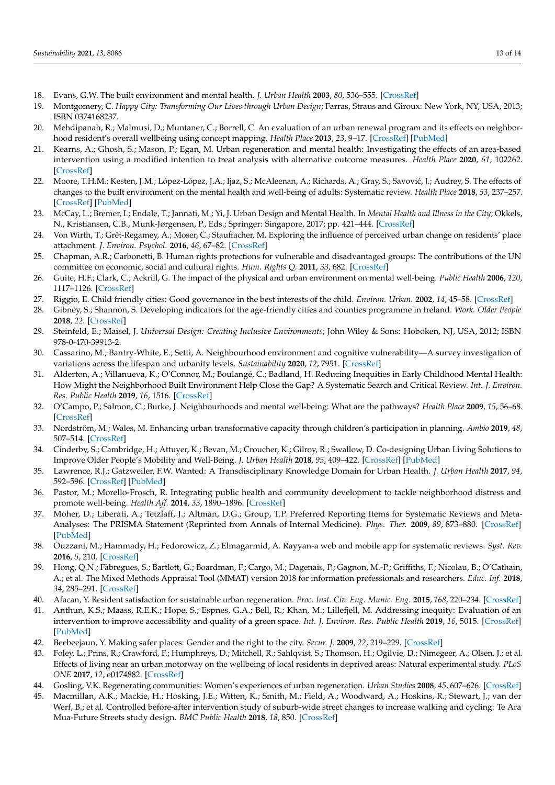- <span id="page-13-0"></span>18. Evans, G.W. The built environment and mental health. *J. Urban Health* **2003**, *80*, 536–555. [\[CrossRef\]](http://doi.org/10.1093/jurban/jtg063)
- <span id="page-13-1"></span>19. Montgomery, C. *Happy City: Transforming Our Lives through Urban Design*; Farras, Straus and Giroux: New York, NY, USA, 2013; ISBN 0374168237.
- <span id="page-13-2"></span>20. Mehdipanah, R.; Malmusi, D.; Muntaner, C.; Borrell, C. An evaluation of an urban renewal program and its effects on neighborhood resident's overall wellbeing using concept mapping. *Health Place* **2013**, *23*, 9–17. [\[CrossRef\]](http://doi.org/10.1016/j.healthplace.2013.04.009) [\[PubMed\]](http://www.ncbi.nlm.nih.gov/pubmed/23727619)
- <span id="page-13-3"></span>21. Kearns, A.; Ghosh, S.; Mason, P.; Egan, M. Urban regeneration and mental health: Investigating the effects of an area-based intervention using a modified intention to treat analysis with alternative outcome measures. *Health Place* **2020**, *61*, 102262. [\[CrossRef\]](http://doi.org/10.1016/j.healthplace.2019.102262)
- <span id="page-13-4"></span>22. Moore, T.H.M.; Kesten, J.M.; López-López, J.A.; Ijaz, S.; McAleenan, A.; Richards, A.; Gray, S.; Savović, J.; Audrey, S. The effects of changes to the built environment on the mental health and well-being of adults: Systematic review. *Health Place* **2018**, *53*, 237–257. [\[CrossRef\]](http://doi.org/10.1016/j.healthplace.2018.07.012) [\[PubMed\]](http://www.ncbi.nlm.nih.gov/pubmed/30196042)
- <span id="page-13-5"></span>23. McCay, L.; Bremer, I.; Endale, T.; Jannati, M.; Yi, J. Urban Design and Mental Health. In *Mental Health and Illness in the City*; Okkels, N., Kristiansen, C.B., Munk-Jørgensen, P., Eds.; Springer: Singapore, 2017; pp. 421–444. [\[CrossRef\]](http://doi.org/10.1007/978-981-10-2327-9_12)
- <span id="page-13-6"></span>24. Von Wirth, T.; Grêt-Regamey, A.; Moser, C.; Stauffacher, M. Exploring the influence of perceived urban change on residents' place attachment. *J. Environ. Psychol.* **2016**, *46*, 67–82. [\[CrossRef\]](http://doi.org/10.1016/j.jenvp.2016.03.001)
- <span id="page-13-7"></span>25. Chapman, A.R.; Carbonetti, B. Human rights protections for vulnerable and disadvantaged groups: The contributions of the UN committee on economic, social and cultural rights. *Hum. Rights Q.* **2011**, *33*, 682. [\[CrossRef\]](http://doi.org/10.1353/hrq.2011.0033)
- <span id="page-13-8"></span>26. Guite, H.F.; Clark, C.; Ackrill, G. The impact of the physical and urban environment on mental well-being. *Public Health* **2006**, *120*, 1117–1126. [\[CrossRef\]](http://doi.org/10.1016/j.puhe.2006.10.005)
- <span id="page-13-9"></span>27. Riggio, E. Child friendly cities: Good governance in the best interests of the child. *Environ. Urban.* **2002**, *14*, 45–58. [\[CrossRef\]](http://doi.org/10.1177/095624780201400204)
- <span id="page-13-10"></span>28. Gibney, S.; Shannon, S. Developing indicators for the age-friendly cities and counties programme in Ireland. *Work. Older People* **2018**, *22*. [\[CrossRef\]](http://doi.org/10.1108/WWOP-12-2017-0038)
- <span id="page-13-11"></span>29. Steinfeld, E.; Maisel, J. *Universal Design: Creating Inclusive Environments*; John Wiley & Sons: Hoboken, NJ, USA, 2012; ISBN 978-0-470-39913-2.
- <span id="page-13-12"></span>30. Cassarino, M.; Bantry-White, E.; Setti, A. Neighbourhood environment and cognitive vulnerability—A survey investigation of variations across the lifespan and urbanity levels. *Sustainability* **2020**, *12*, 7951. [\[CrossRef\]](http://doi.org/10.3390/su12197951)
- <span id="page-13-13"></span>31. Alderton, A.; Villanueva, K.; O'Connor, M.; Boulangé, C.; Badland, H. Reducing Inequities in Early Childhood Mental Health: How Might the Neighborhood Built Environment Help Close the Gap? A Systematic Search and Critical Review. *Int. J. Environ. Res. Public Health* **2019**, *16*, 1516. [\[CrossRef\]](http://doi.org/10.3390/ijerph16091516)
- <span id="page-13-14"></span>32. O'Campo, P.; Salmon, C.; Burke, J. Neighbourhoods and mental well-being: What are the pathways? *Health Place* **2009**, *15*, 56–68. [\[CrossRef\]](http://doi.org/10.1016/j.healthplace.2008.02.004)
- <span id="page-13-15"></span>33. Nordström, M.; Wales, M. Enhancing urban transformative capacity through children's participation in planning. *Ambio* **2019**, *48*, 507–514. [\[CrossRef\]](http://doi.org/10.1007/s13280-019-01146-5)
- <span id="page-13-16"></span>34. Cinderby, S.; Cambridge, H.; Attuyer, K.; Bevan, M.; Croucher, K.; Gilroy, R.; Swallow, D. Co-designing Urban Living Solutions to Improve Older People's Mobility and Well-Being. *J. Urban Health* **2018**, *95*, 409–422. [\[CrossRef\]](http://doi.org/10.1007/s11524-018-0232-z) [\[PubMed\]](http://www.ncbi.nlm.nih.gov/pubmed/29644534)
- <span id="page-13-17"></span>35. Lawrence, R.J.; Gatzweiler, F.W. Wanted: A Transdisciplinary Knowledge Domain for Urban Health. *J. Urban Health* **2017**, *94*, 592–596. [\[CrossRef\]](http://doi.org/10.1007/s11524-017-0182-x) [\[PubMed\]](http://www.ncbi.nlm.nih.gov/pubmed/28695402)
- <span id="page-13-18"></span>36. Pastor, M.; Morello-Frosch, R. Integrating public health and community development to tackle neighborhood distress and promote well-being. *Health Aff.* **2014**, *33*, 1890–1896. [\[CrossRef\]](http://doi.org/10.1377/hlthaff.2014.0640)
- <span id="page-13-19"></span>37. Moher, D.; Liberati, A.; Tetzlaff, J.; Altman, D.G.; Group, T.P. Preferred Reporting Items for Systematic Reviews and Meta-Analyses: The PRISMA Statement (Reprinted from Annals of Internal Medicine). *Phys. Ther.* **2009**, *89*, 873–880. [\[CrossRef\]](http://doi.org/10.1093/ptj/89.9.873) [\[PubMed\]](http://www.ncbi.nlm.nih.gov/pubmed/19723669)
- <span id="page-13-20"></span>38. Ouzzani, M.; Hammady, H.; Fedorowicz, Z.; Elmagarmid, A. Rayyan-a web and mobile app for systematic reviews. *Syst. Rev.* **2016**, *5*, 210. [\[CrossRef\]](http://doi.org/10.1186/s13643-016-0384-4)
- <span id="page-13-21"></span>39. Hong, Q.N.; Fàbregues, S.; Bartlett, G.; Boardman, F.; Cargo, M.; Dagenais, P.; Gagnon, M.-P.; Griffiths, F.; Nicolau, B.; O'Cathain, A.; et al. The Mixed Methods Appraisal Tool (MMAT) version 2018 for information professionals and researchers. *Educ. Inf.* **2018**, *34*, 285–291. [\[CrossRef\]](http://doi.org/10.3233/EFI-180221)
- <span id="page-13-22"></span>40. Afacan, Y. Resident satisfaction for sustainable urban regeneration. *Proc. Inst. Civ. Eng. Munic. Eng.* **2015**, *168*, 220–234. [\[CrossRef\]](http://doi.org/10.1680/muen.14.00046)
- <span id="page-13-26"></span>41. Anthun, K.S.; Maass, R.E.K.; Hope, S.; Espnes, G.A.; Bell, R.; Khan, M.; Lillefjell, M. Addressing inequity: Evaluation of an intervention to improve accessibility and quality of a green space. *Int. J. Environ. Res. Public Health* **2019**, *16*, 5015. [\[CrossRef\]](http://doi.org/10.3390/ijerph16245015) [\[PubMed\]](http://www.ncbi.nlm.nih.gov/pubmed/31835473)
- <span id="page-13-23"></span>42. Beebeejaun, Y. Making safer places: Gender and the right to the city. *Secur. J.* **2009**, *22*, 219–229. [\[CrossRef\]](http://doi.org/10.1057/sj.2009.4)
- <span id="page-13-25"></span>43. Foley, L.; Prins, R.; Crawford, F.; Humphreys, D.; Mitchell, R.; Sahlqvist, S.; Thomson, H.; Ogilvie, D.; Nimegeer, A.; Olsen, J.; et al. Effects of living near an urban motorway on the wellbeing of local residents in deprived areas: Natural experimental study. *PLoS ONE* **2017**, *12*, e0174882. [\[CrossRef\]](http://doi.org/10.1371/journal.pone.0174882)
- <span id="page-13-24"></span>44. Gosling, V.K. Regenerating communities: Women's experiences of urban regeneration. *Urban Studies* **2008**, *45*, 607–626. [\[CrossRef\]](http://doi.org/10.1177/0042098007087337)
- <span id="page-13-27"></span>45. Macmillan, A.K.; Mackie, H.; Hosking, J.E.; Witten, K.; Smith, M.; Field, A.; Woodward, A.; Hoskins, R.; Stewart, J.; van der Werf, B.; et al. Controlled before-after intervention study of suburb-wide street changes to increase walking and cycling: Te Ara Mua-Future Streets study design. *BMC Public Health* **2018**, *18*, 850. [\[CrossRef\]](http://doi.org/10.1186/s12889-018-5758-1)